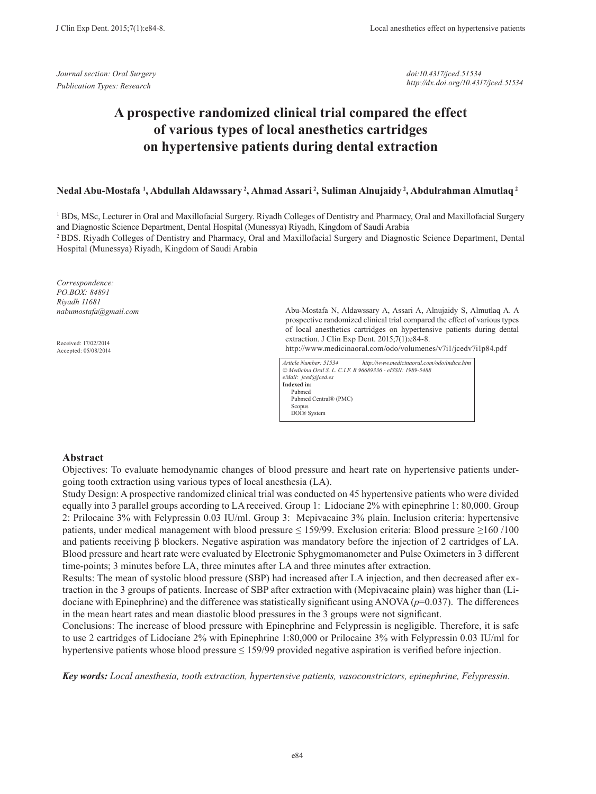*Journal section: Oral Surgery Publication Types: Research*

*doi:10.4317/jced.51534 http://dx.doi.org/10.4317/jced.51534*

# **A prospective randomized clinical trial compared the effect of various types of local anesthetics cartridges on hypertensive patients during dental extraction**

### **Nedal Abu-Mostafa 1 , Abdullah Aldawssary 2, Ahmad Assari 2, Suliman Alnujaidy 2, Abdulrahman Almutlaq 2**

<sup>1</sup> BDs, MSc, Lecturer in Oral and Maxillofacial Surgery. Riyadh Colleges of Dentistry and Pharmacy, Oral and Maxillofacial Surgery and Diagnostic Science Department, Dental Hospital (Munessya) Riyadh, Kingdom of Saudi Arabia

2 BDS. Riyadh Colleges of Dentistry and Pharmacy, Oral and Maxillofacial Surgery and Diagnostic Science Department, Dental Hospital (Munessya) Riyadh, Kingdom of Saudi Arabia

*Correspondence: PO.BOX: 84891 Riyadh 11681 nabumostafa@gmail.com*

Received: 17/02/2014 Accepted: 05/08/2014 Abu-Mostafa N, Aldawssary A, Assari A, Alnujaidy S, Almutlaq A. A prospective randomized clinical trial compared the effect of various types of local anesthetics cartridges on hypertensive patients during dental extraction. J Clin Exp Dent. 2015;7(1):e84-8.

http://www.medicinaoral.com/odo/volumenes/v7i1/jcedv7i1p84.pdf

| Article Number: 51534 | http://www.medicinaoral.com/odo/indice.htm                 |
|-----------------------|------------------------------------------------------------|
|                       | © Medicina Oral S. L. C.I.F. B 96689336 - eISSN: 1989-5488 |
| eMail: jced@jced.es   |                                                            |
| Indexed in:           |                                                            |
| Pubmed                |                                                            |
| Pubmed Central® (PMC) |                                                            |
| Scopus                |                                                            |
| DOI® System           |                                                            |
|                       |                                                            |

### **Abstract**

Objectives: To evaluate hemodynamic changes of blood pressure and heart rate on hypertensive patients undergoing tooth extraction using various types of local anesthesia (LA).

Study Design: A prospective randomized clinical trial was conducted on 45 hypertensive patients who were divided equally into 3 parallel groups according to LA received. Group 1: Lidociane 2% with epinephrine 1: 80,000. Group 2: Prilocaine 3% with Felypressin 0.03 IU/ml. Group 3: Mepivacaine 3% plain. Inclusion criteria: hypertensive patients, under medical management with blood pressure ≤ 159/99. Exclusion criteria: Blood pressure ≥160 /100 and patients receiving β blockers. Negative aspiration was mandatory before the injection of 2 cartridges of LA. Blood pressure and heart rate were evaluated by Electronic Sphygmomanometer and Pulse Oximeters in 3 different time-points; 3 minutes before LA, three minutes after LA and three minutes after extraction.

Results: The mean of systolic blood pressure (SBP) had increased after LA injection, and then decreased after extraction in the 3 groups of patients. Increase of SBP after extraction with (Mepivacaine plain) was higher than (Lidociane with Epinephrine) and the difference was statistically significant using ANOVA (*p*=0.037). The differences in the mean heart rates and mean diastolic blood pressures in the 3 groups were not significant.

Conclusions: The increase of blood pressure with Epinephrine and Felypressin is negligible. Therefore, it is safe to use 2 cartridges of Lidociane 2% with Epinephrine 1:80,000 or Prilocaine 3% with Felypressin 0.03 IU/ml for hypertensive patients whose blood pressure ≤ 159/99 provided negative aspiration is verified before injection.

*Key words: Local anesthesia, tooth extraction, hypertensive patients, vasoconstrictors, epinephrine, Felypressin.*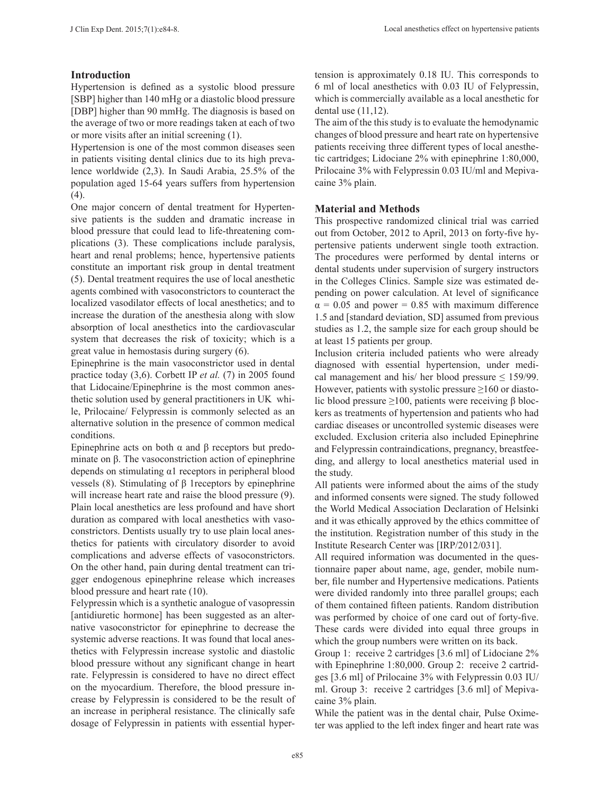## **Introduction**

Hypertension is defined as a systolic blood pressure [SBP] higher than 140 mHg or a diastolic blood pressure [DBP] higher than 90 mmHg. The diagnosis is based on the average of two or more readings taken at each of two or more visits after an initial screening (1).

Hypertension is one of the most common diseases seen in patients visiting dental clinics due to its high prevalence worldwide (2,3). In Saudi Arabia, 25.5% of the population aged 15-64 years suffers from hypertension  $(4).$ 

One major concern of dental treatment for Hypertensive patients is the sudden and dramatic increase in blood pressure that could lead to life-threatening complications (3). These complications include paralysis, heart and renal problems; hence, hypertensive patients constitute an important risk group in dental treatment (5). Dental treatment requires the use of local anesthetic agents combined with vasoconstrictors to counteract the localized vasodilator effects of local anesthetics; and to increase the duration of the anesthesia along with slow absorption of local anesthetics into the cardiovascular system that decreases the risk of toxicity; which is a great value in hemostasis during surgery (6).

Epinephrine is the main vasoconstrictor used in dental practice today (3,6). Corbett IP *et al.* (7) in 2005 found that Lidocaine/Epinephrine is the most common anesthetic solution used by general practitioners in UK while, Prilocaine/ Felypressin is commonly selected as an alternative solution in the presence of common medical conditions.

Epinephrine acts on both α and β receptors but predominate on β. The vasoconstriction action of epinephrine depends on stimulating α1 receptors in peripheral blood vessels (8). Stimulating of β 1receptors by epinephrine will increase heart rate and raise the blood pressure (9). Plain local anesthetics are less profound and have short duration as compared with local anesthetics with vasoconstrictors. Dentists usually try to use plain local anesthetics for patients with circulatory disorder to avoid complications and adverse effects of vasoconstrictors. On the other hand, pain during dental treatment can trigger endogenous epinephrine release which increases blood pressure and heart rate (10).

Felypressin which is a synthetic analogue of vasopressin [antidiuretic hormone] has been suggested as an alternative vasoconstrictor for epinephrine to decrease the systemic adverse reactions. It was found that local anesthetics with Felypressin increase systolic and diastolic blood pressure without any significant change in heart rate. Felypressin is considered to have no direct effect on the myocardium. Therefore, the blood pressure increase by Felypressin is considered to be the result of an increase in peripheral resistance. The clinically safe dosage of Felypressin in patients with essential hypertension is approximately 0.18 IU. This corresponds to 6 ml of local anesthetics with 0.03 IU of Felypressin, which is commercially available as a local anesthetic for dental use (11,12).

The aim of the this study is to evaluate the hemodynamic changes of blood pressure and heart rate on hypertensive patients receiving three different types of local anesthetic cartridges; Lidociane 2% with epinephrine 1:80,000, Prilocaine 3% with Felypressin 0.03 IU/ml and Mepivacaine 3% plain.

## **Material and Methods**

This prospective randomized clinical trial was carried out from October, 2012 to April, 2013 on forty-five hypertensive patients underwent single tooth extraction. The procedures were performed by dental interns or dental students under supervision of surgery instructors in the Colleges Clinics. Sample size was estimated depending on power calculation. At level of significance  $\alpha$  = 0.05 and power = 0.85 with maximum difference 1.5 and [standard deviation, SD] assumed from previous studies as 1.2, the sample size for each group should be at least 15 patients per group.

Inclusion criteria included patients who were already diagnosed with essential hypertension, under medical management and his/ her blood pressure  $\leq$  159/99. However, patients with systolic pressure  $\geq 160$  or diastolic blood pressure  $\geq$ 100, patients were receiving β blockers as treatments of hypertension and patients who had cardiac diseases or uncontrolled systemic diseases were excluded. Exclusion criteria also included Epinephrine and Felypressin contraindications, pregnancy, breastfeeding, and allergy to local anesthetics material used in the study.

All patients were informed about the aims of the study and informed consents were signed. The study followed the World Medical Association Declaration of Helsinki and it was ethically approved by the ethics committee of the institution. Registration number of this study in the Institute Research Center was [IRP/2012/031].

All required information was documented in the questionnaire paper about name, age, gender, mobile number, file number and Hypertensive medications. Patients were divided randomly into three parallel groups; each of them contained fifteen patients. Random distribution was performed by choice of one card out of forty-five. These cards were divided into equal three groups in which the group numbers were written on its back.

Group 1: receive 2 cartridges [3.6 ml] of Lidociane 2% with Epinephrine 1:80,000. Group 2: receive 2 cartridges [3.6 ml] of Prilocaine 3% with Felypressin 0.03 IU/ ml. Group 3: receive 2 cartridges [3.6 ml] of Mepivacaine 3% plain.

While the patient was in the dental chair, Pulse Oximeter was applied to the left index finger and heart rate was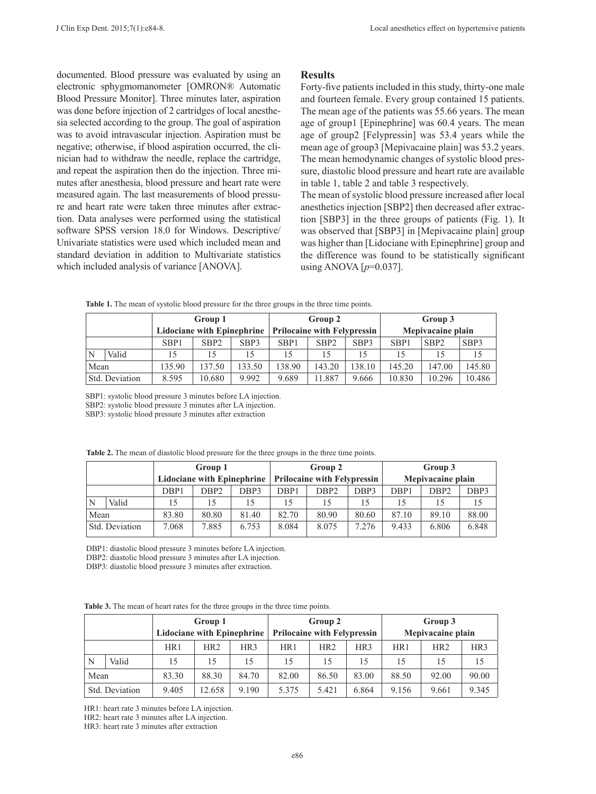documented. Blood pressure was evaluated by using an electronic sphygmomanometer [OMRON® Automatic Blood Pressure Monitor]. Three minutes later, aspiration was done before injection of 2 cartridges of local anesthesia selected according to the group. The goal of aspiration was to avoid intravascular injection. Aspiration must be negative; otherwise, if blood aspiration occurred, the clinician had to withdraw the needle, replace the cartridge, and repeat the aspiration then do the injection. Three minutes after anesthesia, blood pressure and heart rate were measured again. The last measurements of blood pressure and heart rate were taken three minutes after extraction. Data analyses were performed using the statistical software SPSS version 18.0 for Windows. Descriptive/ Univariate statistics were used which included mean and standard deviation in addition to Multivariate statistics which included analysis of variance [ANOVA].

### **Results**

Forty-five patients included in this study, thirty-one male and fourteen female. Every group contained 15 patients. The mean age of the patients was 55.66 years. The mean age of group1 [Epinephrine] was 60.4 years. The mean age of group2 [Felypressin] was 53.4 years while the mean age of group3 [Mepivacaine plain] was 53.2 years. The mean hemodynamic changes of systolic blood pressure, diastolic blood pressure and heart rate are available in table 1, table 2 and table 3 respectively.

The mean of systolic blood pressure increased after local anesthetics injection [SBP2] then decreased after extraction [SBP3] in the three groups of patients (Fig. 1). It was observed that [SBP3] in [Mepivacaine plain] group was higher than [Lidociane with Epinephrine] group and the difference was found to be statistically significant using ANOVA  $[p=0.037]$ .

|                |       | Group 1                           |                  |        | Group 2                            |                  |        | Group 3           |                  |        |
|----------------|-------|-----------------------------------|------------------|--------|------------------------------------|------------------|--------|-------------------|------------------|--------|
|                |       | <b>Lidociane with Epinephrine</b> |                  |        | <b>Prilocaine with Felypressin</b> |                  |        | Mepivacaine plain |                  |        |
|                |       | SBP1                              | SBP <sub>2</sub> | SBP3   | SBP <sub>1</sub>                   | SBP <sub>2</sub> | SBP3   | SBP1              | SBP <sub>2</sub> | SBP3   |
|                | Valid | 15                                | 15               | 15     |                                    | 15               | 15     |                   | 15               |        |
| Mean           |       | 135.90                            | 137.50           | 133.50 | 138.90                             | 143.20           | 138.10 | 145.20            | 147.00           | 145.80 |
| Std. Deviation |       | 8.595                             | 10.680           | 9.992  | 9.689                              | 11.887           | 9.666  | 10.830            | 10.296           | 10.486 |

Table 1. The mean of systolic blood pressure for the three groups in the three time points.

SBP1: systolic blood pressure 3 minutes before LA injection. SBP2: systolic blood pressure 3 minutes after LA injection. SBP3: systolic blood pressure 3 minutes after extraction

**Group 1 Lidociane with Epinephrine Group 2 Prilocaine with Felypressin Group 3 Mepivacaine plain** DBP1 | DBP2 | DBP3 | DBP1 | DBP2 | DBP3 | DBP1 | DBP2 | DBP3 N Valid 15 15 15 15 15 15 15 15 15 Mean 83.80 80.80 81.40 82.70 80.90 80.60 87.10 89.10 88.00

Std. Deviation 7.068 7.885 6.753 8.084 8.075 7.276 9.433 6.806 6.848

**Table 2.** The mean of diastolic blood pressure for the three groups in the three time points.

DBP1: diastolic blood pressure 3 minutes before LA injection.

DBP2: diastolic blood pressure 3 minutes after LA injection.

DBP3: diastolic blood pressure 3 minutes after extraction.

**Table 3.** The mean of heart rates for the three groups in the three time points.

|                |       | Group 1<br><b>Lidociane with Epinephrine</b> |        |                 | Group 2<br><b>Prilocaine with Felypressin</b> |                 |                 | Group 3<br>Mepivacaine plain |       |                 |
|----------------|-------|----------------------------------------------|--------|-----------------|-----------------------------------------------|-----------------|-----------------|------------------------------|-------|-----------------|
|                |       |                                              |        |                 |                                               |                 |                 |                              |       |                 |
|                |       | HR1                                          | HR2    | HR <sub>3</sub> | HR1                                           | HR <sub>2</sub> | HR <sub>3</sub> | HR1                          | HR2   | HR <sub>3</sub> |
| N              | Valid | 15                                           | 15     | 15              | 15                                            | 15              | 15              | 15                           | 15    | 15              |
| Mean           |       | 83.30                                        | 88.30  | 84.70           | 82.00                                         | 86.50           | 83.00           | 88.50                        | 92.00 | 90.00           |
| Std. Deviation |       | 9.405                                        | 12.658 | 9.190           | 5.375                                         | 5.421           | 6.864           | 9.156                        | 9.661 | 9.345           |

HR1: heart rate 3 minutes before LA injection.

HR2: heart rate 3 minutes after LA injection.

HR3: heart rate 3 minutes after extraction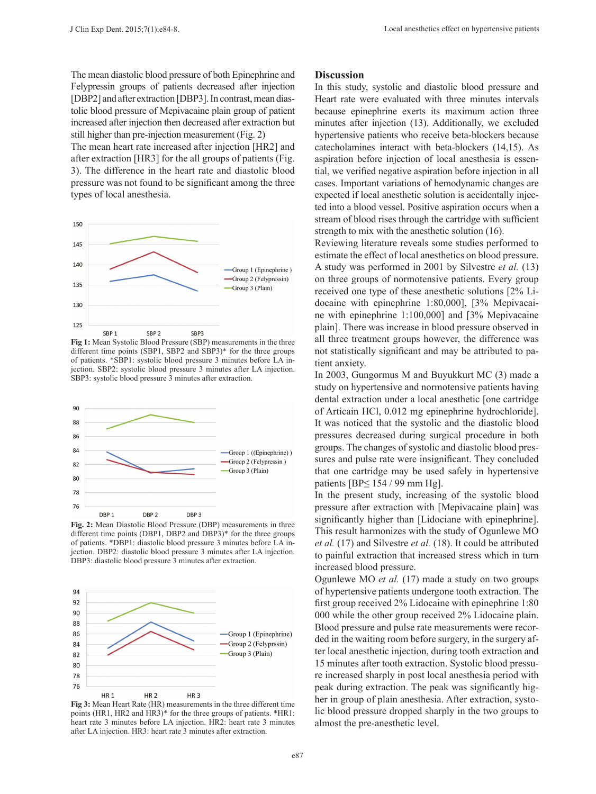The mean diastolic blood pressure of both Epinephrine and Felypressin groups of patients decreased after injection [DBP2] and after extraction [DBP3]. In contrast, mean diastolic blood pressure of Mepivacaine plain group of patient increased after injection then decreased after extraction but still higher than pre-injection measurement (Fig. 2) The mean heart rate increased after injection [HR2] and after extraction [HR3] for the all groups of patients (Fig. 3). The difference in the heart rate and diastolic blood

pressure was not found to be significant among the three types of local anesthesia.



**Fig 1:** Mean Systolic Blood Pressure (SBP) measurements in the three different time points (SBP1, SBP2 and SBP3)\* for the three groups of patients. \*SBP1: systolic blood pressure 3 minutes before LA injection. SBP2: systolic blood pressure 3 minutes after LA injection. SBP3: systolic blood pressure 3 minutes after extraction.



**Fig. 2:** Mean Diastolic Blood Pressure (DBP) measurements in three different time points (DBP1, DBP2 and DBP3)\* for the three groups of patients. \*DBP1: diastolic blood pressure 3 minutes before LA injection. DBP2: diastolic blood pressure 3 minutes after LA injection. DBP3: diastolic blood pressure 3 minutes after extraction.



**Fig 3:** Mean Heart Rate (HR) measurements in the three different time points (HR1, HR2 and HR3)\* for the three groups of patients. \*HR1: heart rate 3 minutes before LA injection. HR2: heart rate 3 minutes after LA injection. HR3: heart rate 3 minutes after extraction.

#### **Discussion**

In this study, systolic and diastolic blood pressure and Heart rate were evaluated with three minutes intervals because epinephrine exerts its maximum action three minutes after injection (13). Additionally, we excluded hypertensive patients who receive beta-blockers because catecholamines interact with beta-blockers (14,15). As aspiration before injection of local anesthesia is essential, we verified negative aspiration before injection in all cases. Important variations of hemodynamic changes are expected if local anesthetic solution is accidentally injected into a blood vessel. Positive aspiration occurs when a stream of blood rises through the cartridge with sufficient strength to mix with the anesthetic solution (16).

Reviewing literature reveals some studies performed to estimate the effect of local anesthetics on blood pressure. A study was performed in 2001 by Silvestre *et al.* (13) on three groups of normotensive patients. Every group received one type of these anesthetic solutions [2% Lidocaine with epinephrine 1:80,000], [3% Mepivacaine with epinephrine 1:100,000] and [3% Mepivacaine plain]. There was increase in blood pressure observed in all three treatment groups however, the difference was not statistically significant and may be attributed to patient anxiety.

In 2003, Gungormus M and Buyukkurt MC (3) made a study on hypertensive and normotensive patients having dental extraction under a local anesthetic [one cartridge of Articain HCl, 0.012 mg epinephrine hydrochloride]. It was noticed that the systolic and the diastolic blood pressures decreased during surgical procedure in both groups. The changes of systolic and diastolic blood pressures and pulse rate were insignificant. They concluded that one cartridge may be used safely in hypertensive patients [BP≤ 154 / 99 mm Hg].

In the present study, increasing of the systolic blood pressure after extraction with [Mepivacaine plain] was significantly higher than [Lidociane with epinephrine]. This result harmonizes with the study of Ogunlewe MO *et al.* (17) and Silvestre *et al.* (18). It could be attributed to painful extraction that increased stress which in turn increased blood pressure.

Ogunlewe MO *et al.* (17) made a study on two groups of hypertensive patients undergone tooth extraction. The first group received 2% Lidocaine with epinephrine 1:80 000 while the other group received 2% Lidocaine plain. Blood pressure and pulse rate measurements were recorded in the waiting room before surgery, in the surgery after local anesthetic injection, during tooth extraction and 15 minutes after tooth extraction. Systolic blood pressure increased sharply in post local anesthesia period with peak during extraction. The peak was significantly higher in group of plain anesthesia. After extraction, systolic blood pressure dropped sharply in the two groups to almost the pre-anesthetic level.